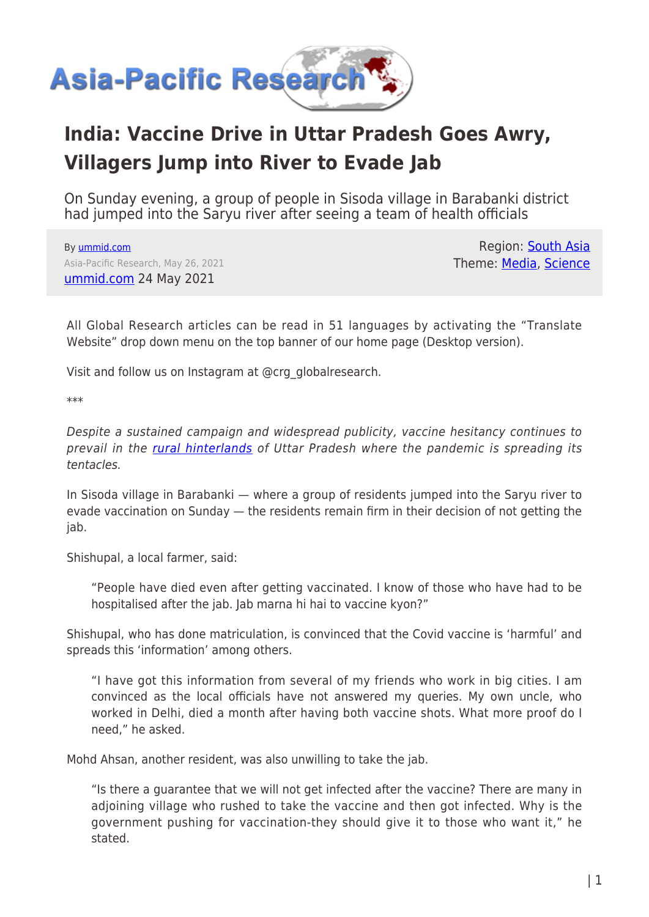

## **India: Vaccine Drive in Uttar Pradesh Goes Awry, Villagers Jump into River to Evade Jab**

On Sunday evening, a group of people in Sisoda village in Barabanki district had jumped into the Saryu river after seeing a team of health officials

By [ummid.com](https://www.asia-pacificresearch.com/author/ummid-com) Asia-Pacific Research, May 26, 2021 [ummid.com](https://ummid.com/news/2021/may/24.05.2021/covid-vaccine-drive-in-uttar-pradesh.html) 24 May 2021

Region: [South Asia](https://www.asia-pacificresearch.com/region/south-asia) Theme: [Media,](https://www.asia-pacificresearch.com/theme/as-media) [Science](https://www.asia-pacificresearch.com/theme/science)

All Global Research articles can be read in 51 languages by activating the "Translate Website" drop down menu on the top banner of our home page (Desktop version).

Visit and follow us on Instagram at @crg\_globalresearch.

\*\*\*

Despite a sustained campaign and widespread publicity, vaccine hesitancy continues to prevail in the [rural hinterlands](https://ummid.com/news/2021/may/07.05.2021/covid-situation-in-uttar-pradesh-rural.html) of Uttar Pradesh where the pandemic is spreading its tentacles.

In Sisoda village in Barabanki — where a group of residents jumped into the Saryu river to evade vaccination on Sunday — the residents remain firm in their decision of not getting the jab.

Shishupal, a local farmer, said:

"People have died even after getting vaccinated. I know of those who have had to be hospitalised after the jab. Jab marna hi hai to vaccine kyon?"

Shishupal, who has done matriculation, is convinced that the Covid vaccine is 'harmful' and spreads this 'information' among others.

"I have got this information from several of my friends who work in big cities. I am convinced as the local officials have not answered my queries. My own uncle, who worked in Delhi, died a month after having both vaccine shots. What more proof do I need," he asked.

Mohd Ahsan, another resident, was also unwilling to take the jab.

"Is there a guarantee that we will not get infected after the vaccine? There are many in adjoining village who rushed to take the vaccine and then got infected. Why is the government pushing for vaccination-they should give it to those who want it," he stated.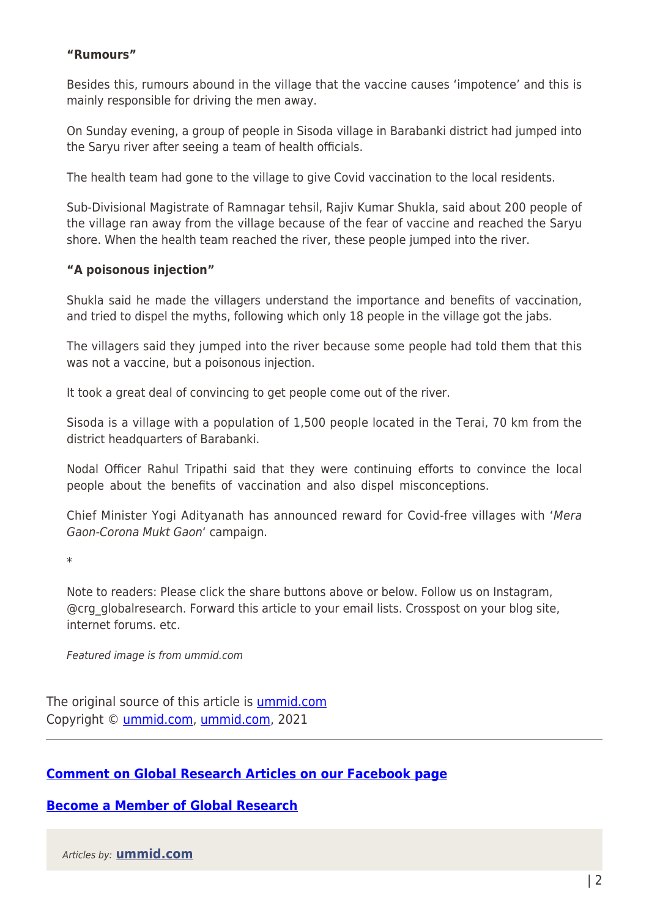## **"Rumours"**

Besides this, rumours abound in the village that the vaccine causes 'impotence' and this is mainly responsible for driving the men away.

On Sunday evening, a group of people in Sisoda village in Barabanki district had jumped into the Saryu river after seeing a team of health officials.

The health team had gone to the village to give Covid vaccination to the local residents.

Sub-Divisional Magistrate of Ramnagar tehsil, Rajiv Kumar Shukla, said about 200 people of the village ran away from the village because of the fear of vaccine and reached the Saryu shore. When the health team reached the river, these people jumped into the river.

## **"A poisonous injection"**

Shukla said he made the villagers understand the importance and benefits of vaccination, and tried to dispel the myths, following which only 18 people in the village got the jabs.

The villagers said they jumped into the river because some people had told them that this was not a vaccine, but a poisonous injection.

It took a great deal of convincing to get people come out of the river.

Sisoda is a village with a population of 1,500 people located in the Terai, 70 km from the district headquarters of Barabanki.

Nodal Officer Rahul Tripathi said that they were continuing efforts to convince the local people about the benefits of vaccination and also dispel misconceptions.

Chief Minister Yogi Adityanath has announced reward for Covid-free villages with 'Mera Gaon-Corona Mukt Gaon' campaign.

\*

Note to readers: Please click the share buttons above or below. Follow us on Instagram, @crg\_globalresearch. Forward this article to your email lists. Crosspost on your blog site, internet forums. etc.

Featured image is from ummid.com

The original source of this article is [ummid.com](https://ummid.com/news/2021/may/24.05.2021/covid-vaccine-drive-in-uttar-pradesh.html) Copyright © [ummid.com](https://www.asia-pacificresearch.com/author/ummid-com), [ummid.com](https://ummid.com/news/2021/may/24.05.2021/covid-vaccine-drive-in-uttar-pradesh.html), 2021

## **[Comment on Global Research Articles on our Facebook page](https://www.facebook.com/GlobalResearchCRG)**

**[Become a Member of Global Research](https://store.globalresearch.ca/member/)**

Articles by: **[ummid.com](https://www.asia-pacificresearch.com/author/ummid-com)**